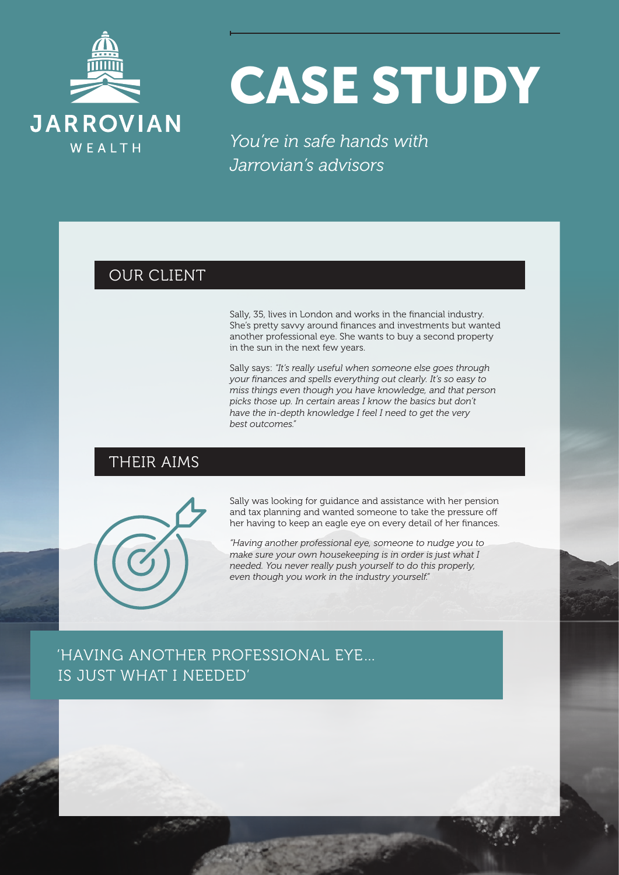

# CASE STUDY

*You're in safe hands with Jarrovian's advisors*

## OUR CLIENT

Sally, 35, lives in London and works in the financial industry. She's pretty savvy around finances and investments but wanted another professional eye. She wants to buy a second property in the sun in the next few years.

Sally says: *"It's really useful when someone else goes through your finances and spells everything out clearly. It's so easy to miss things even though you have knowledge, and that person picks those up. In certain areas I know the basics but don't have the in-depth knowledge I feel I need to get the very best outcomes."*

#### THEIR AIMS



Sally was looking for guidance and assistance with her pension and tax planning and wanted someone to take the pressure off her having to keep an eagle eye on every detail of her finances.

*"Having another professional eye, someone to nudge you to make sure your own housekeeping is in order is just what I needed. You never really push yourself to do this properly, even though you work in the industry yourself."*

# 'HAVING ANOTHER PROFESSIONAL EYE… IS JUST WHAT I NEEDED'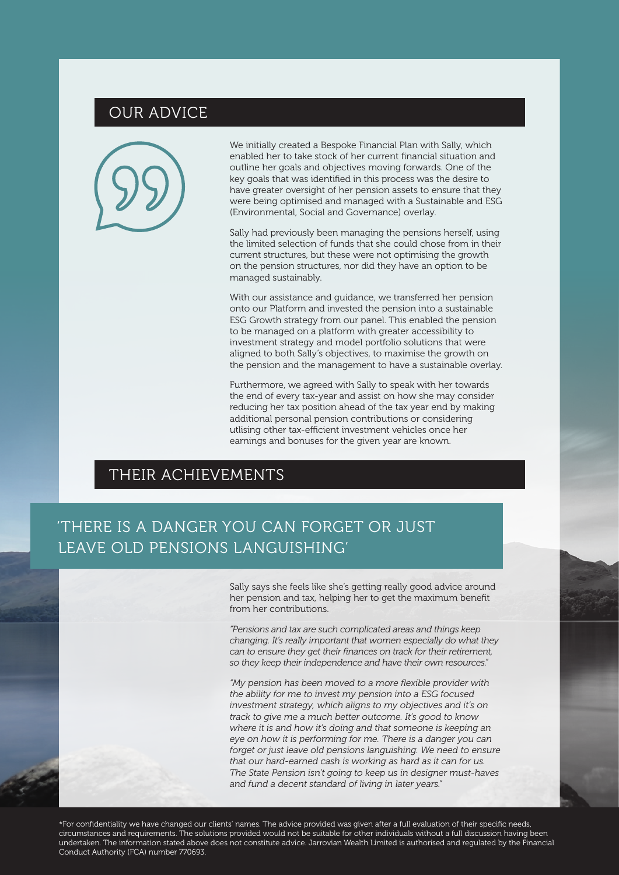## OUR ADVICE



We initially created a Bespoke Financial Plan with Sally, which enabled her to take stock of her current financial situation and outline her goals and objectives moving forwards. One of the key goals that was identified in this process was the desire to have greater oversight of her pension assets to ensure that they were being optimised and managed with a Sustainable and ESG (Environmental, Social and Governance) overlay.

Sally had previously been managing the pensions herself, using the limited selection of funds that she could chose from in their current structures, but these were not optimising the growth on the pension structures, nor did they have an option to be managed sustainably.

With our assistance and guidance, we transferred her pension onto our Platform and invested the pension into a sustainable ESG Growth strategy from our panel. This enabled the pension to be managed on a platform with greater accessibility to investment strategy and model portfolio solutions that were aligned to both Sally's objectives, to maximise the growth on the pension and the management to have a sustainable overlay.

Furthermore, we agreed with Sally to speak with her towards the end of every tax-year and assist on how she may consider reducing her tax position ahead of the tax year end by making additional personal pension contributions or considering utlising other tax-efficient investment vehicles once her earnings and bonuses for the given year are known.

## THEIR ACHIEVEMENTS

# 'THERE IS A DANGER YOU CAN FORGET OR JUST LEAVE OLD PENSIONS LANGUISHING'

Sally says she feels like she's getting really good advice around her pension and tax, helping her to get the maximum benefit from her contributions.

*"Pensions and tax are such complicated areas and things keep changing. It's really important that women especially do what they can to ensure they get their finances on track for their retirement, so they keep their independence and have their own resources."*

*"My pension has been moved to a more flexible provider with the ability for me to invest my pension into a ESG focused investment strategy, which aligns to my objectives and it's on track to give me a much better outcome. It's good to know where it is and how it's doing and that someone is keeping an eye on how it is performing for me. There is a danger you can forget or just leave old pensions languishing. We need to ensure that our hard-earned cash is working as hard as it can for us. The State Pension isn't going to keep us in designer must-haves and fund a decent standard of living in later years."*

\*For confidentiality we have changed our clients' names. The advice provided was given after a full evaluation of their specific needs, circumstances and requirements. The solutions provided would not be suitable for other individuals without a full discussion having been undertaken. The information stated above does not constitute advice. Jarrovian Wealth Limited is authorised and regulated by the Financial Conduct Authority (FCA) number 770693.